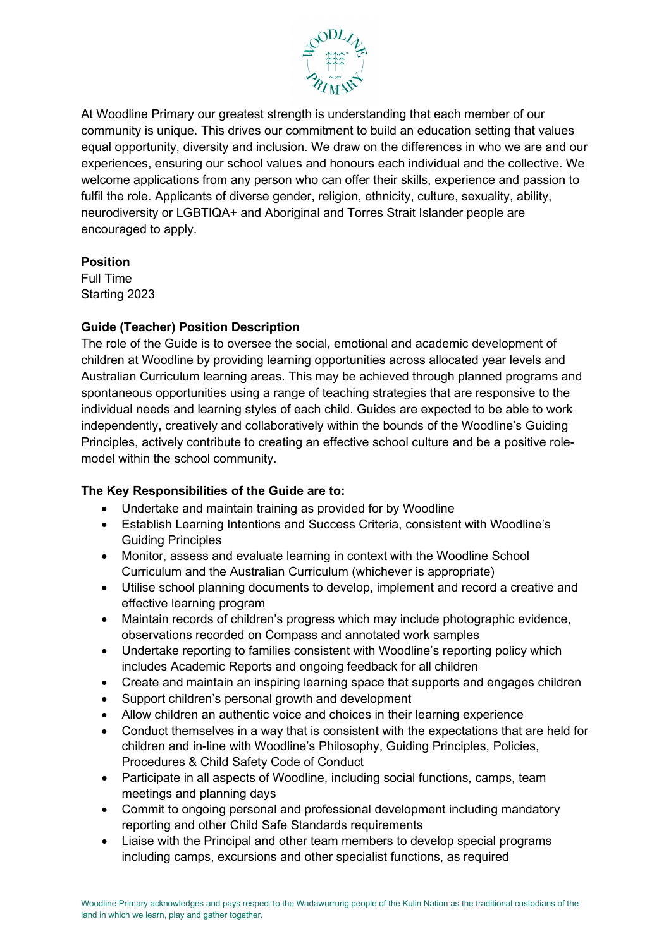

At Woodline Primary our greatest strength is understanding that each member of our community is unique. This drives our commitment to build an education setting that values equal opportunity, diversity and inclusion. We draw on the differences in who we are and our experiences, ensuring our school values and honours each individual and the collective. We welcome applications from any person who can offer their skills, experience and passion to fulfil the role. Applicants of diverse gender, religion, ethnicity, culture, sexuality, ability, neurodiversity or LGBTIQA+ and Aboriginal and Torres Strait Islander people are encouraged to apply.

## **Position**

Full Time Starting 2023

## **Guide (Teacher) Position Description**

The role of the Guide is to oversee the social, emotional and academic development of children at Woodline by providing learning opportunities across allocated year levels and Australian Curriculum learning areas. This may be achieved through planned programs and spontaneous opportunities using a range of teaching strategies that are responsive to the individual needs and learning styles of each child. Guides are expected to be able to work independently, creatively and collaboratively within the bounds of the Woodline's Guiding Principles, actively contribute to creating an effective school culture and be a positive rolemodel within the school community.

## **The Key Responsibilities of the Guide are to:**

- Undertake and maintain training as provided for by Woodline
- Establish Learning Intentions and Success Criteria, consistent with Woodline's Guiding Principles
- Monitor, assess and evaluate learning in context with the Woodline School Curriculum and the Australian Curriculum (whichever is appropriate)
- Utilise school planning documents to develop, implement and record a creative and effective learning program
- Maintain records of children's progress which may include photographic evidence, observations recorded on Compass and annotated work samples
- Undertake reporting to families consistent with Woodline's reporting policy which includes Academic Reports and ongoing feedback for all children
- Create and maintain an inspiring learning space that supports and engages children
- Support children's personal growth and development
- Allow children an authentic voice and choices in their learning experience
- Conduct themselves in a way that is consistent with the expectations that are held for children and in-line with Woodline's Philosophy, Guiding Principles, Policies, Procedures & Child Safety Code of Conduct
- Participate in all aspects of Woodline, including social functions, camps, team meetings and planning days
- Commit to ongoing personal and professional development including mandatory reporting and other Child Safe Standards requirements
- Liaise with the Principal and other team members to develop special programs including camps, excursions and other specialist functions, as required